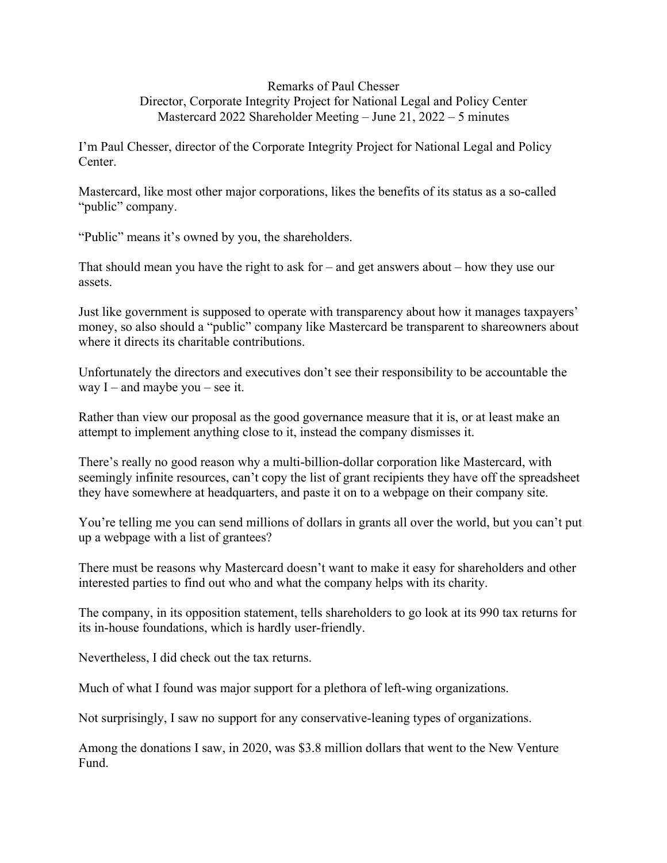## Remarks of Paul Chesser Director, Corporate Integrity Project for National Legal and Policy Center Mastercard 2022 Shareholder Meeting – June 21, 2022 – 5 minutes

I'm Paul Chesser, director of the Corporate Integrity Project for National Legal and Policy Center.

Mastercard, like most other major corporations, likes the benefits of its status as a so-called "public" company.

"Public" means it's owned by you, the shareholders.

That should mean you have the right to ask for – and get answers about – how they use our assets.

Just like government is supposed to operate with transparency about how it manages taxpayers' money, so also should a "public" company like Mastercard be transparent to shareowners about where it directs its charitable contributions.

Unfortunately the directors and executives don't see their responsibility to be accountable the way  $I$  – and maybe you – see it.

Rather than view our proposal as the good governance measure that it is, or at least make an attempt to implement anything close to it, instead the company dismisses it.

There's really no good reason why a multi-billion-dollar corporation like Mastercard, with seemingly infinite resources, can't copy the list of grant recipients they have off the spreadsheet they have somewhere at headquarters, and paste it on to a webpage on their company site.

You're telling me you can send millions of dollars in grants all over the world, but you can't put up a webpage with a list of grantees?

There must be reasons why Mastercard doesn't want to make it easy for shareholders and other interested parties to find out who and what the company helps with its charity.

The company, in its opposition statement, tells shareholders to go look at its 990 tax returns for its in-house foundations, which is hardly user-friendly.

Nevertheless, I did check out the tax returns.

Much of what I found was major support for a plethora of left-wing organizations.

Not surprisingly, I saw no support for any conservative-leaning types of organizations.

Among the donations I saw, in 2020, was \$3.8 million dollars that went to the New Venture Fund.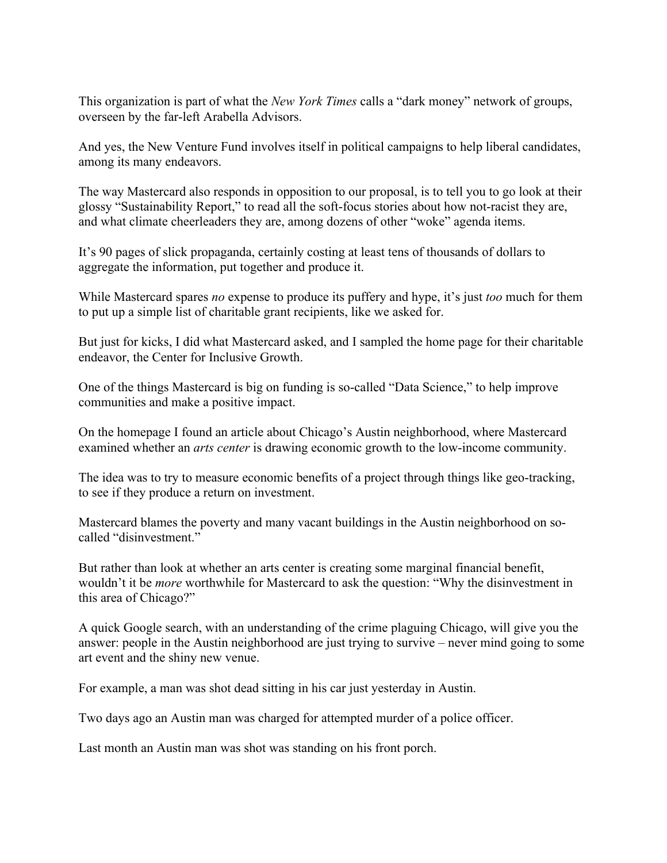This organization is part of what the *New York Times* calls a "dark money" network of groups, overseen by the far-left Arabella Advisors.

And yes, the New Venture Fund involves itself in political campaigns to help liberal candidates, among its many endeavors.

The way Mastercard also responds in opposition to our proposal, is to tell you to go look at their glossy "Sustainability Report," to read all the soft-focus stories about how not-racist they are, and what climate cheerleaders they are, among dozens of other "woke" agenda items.

It's 90 pages of slick propaganda, certainly costing at least tens of thousands of dollars to aggregate the information, put together and produce it.

While Mastercard spares *no* expense to produce its puffery and hype, it's just *too* much for them to put up a simple list of charitable grant recipients, like we asked for.

But just for kicks, I did what Mastercard asked, and I sampled the home page for their charitable endeavor, the Center for Inclusive Growth.

One of the things Mastercard is big on funding is so-called "Data Science," to help improve communities and make a positive impact.

On the homepage I found an article about Chicago's Austin neighborhood, where Mastercard examined whether an *arts center* is drawing economic growth to the low-income community.

The idea was to try to measure economic benefits of a project through things like geo-tracking, to see if they produce a return on investment.

Mastercard blames the poverty and many vacant buildings in the Austin neighborhood on socalled "disinvestment."

But rather than look at whether an arts center is creating some marginal financial benefit, wouldn't it be *more* worthwhile for Mastercard to ask the question: "Why the disinvestment in this area of Chicago?"

A quick Google search, with an understanding of the crime plaguing Chicago, will give you the answer: people in the Austin neighborhood are just trying to survive – never mind going to some art event and the shiny new venue.

For example, a man was shot dead sitting in his car just yesterday in Austin.

Two days ago an Austin man was charged for attempted murder of a police officer.

Last month an Austin man was shot was standing on his front porch.